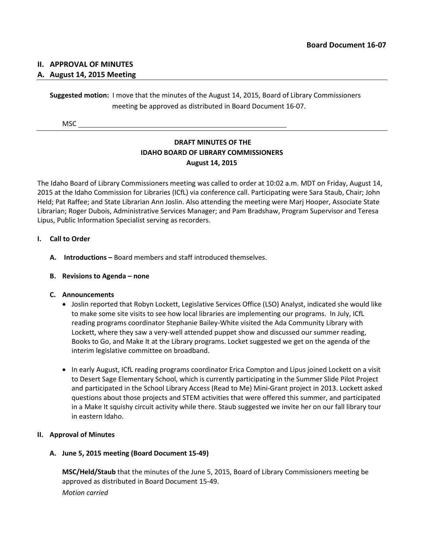## **II. APPROVAL OF MINUTES**

## **A. August 14, 2015 Meeting**

**Suggested motion:** I move that the minutes of the August 14, 2015, Board of Library Commissioners meeting be approved as distributed in Board Document 16-07.

MSC

# **DRAFT MINUTES OF THE IDAHO BOARD OF LIBRARY COMMISSIONERS August 14, 2015**

The Idaho Board of Library Commissioners meeting was called to order at 10:02 a.m. MDT on Friday, August 14, 2015 at the Idaho Commission for Libraries (ICfL) via conference call. Participating were Sara Staub, Chair; John Held; Pat Raffee; and State Librarian Ann Joslin. Also attending the meeting were Marj Hooper, Associate State Librarian; Roger Dubois, Administrative Services Manager; and Pam Bradshaw, Program Supervisor and Teresa Lipus, Public Information Specialist serving as recorders.

## **I. Call to Order**

**A. Introductions –** Board members and staff introduced themselves.

## **B. Revisions to Agenda – none**

## **C. Announcements**

- Joslin reported that Robyn Lockett, Legislative Services Office (LSO) Analyst, indicated she would like to make some site visits to see how local libraries are implementing our programs. In July, ICfL reading programs coordinator Stephanie Bailey-White visited the Ada Community Library with Lockett, where they saw a very-well attended puppet show and discussed our summer reading, Books to Go, and Make It at the Library programs. Locket suggested we get on the agenda of the interim legislative committee on broadband.
- In early August, ICfL reading programs coordinator Erica Compton and Lipus joined Lockett on a visit to Desert Sage Elementary School, which is currently participating in the Summer Slide Pilot Project and participated in the School Library Access (Read to Me) Mini-Grant project in 2013. Lockett asked questions about those projects and STEM activities that were offered this summer, and participated in a Make It squishy circuit activity while there. Staub suggested we invite her on our fall library tour in eastern Idaho.

## **II. Approval of Minutes**

## **A. June 5, 2015 meeting (Board Document 15-49)**

**MSC/Held/Staub** that the minutes of the June 5, 2015, Board of Library Commissioners meeting be approved as distributed in Board Document 15-49. *Motion carried*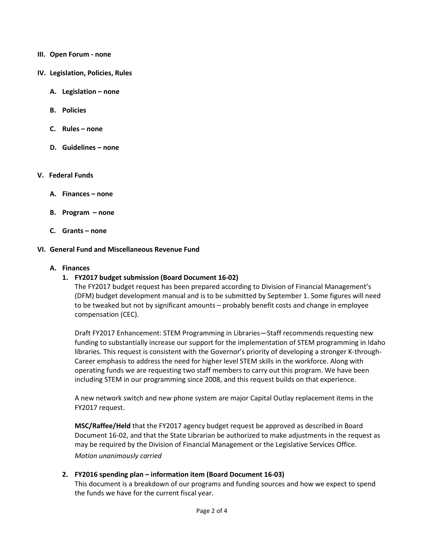- **III. Open Forum - none**
- **IV. Legislation, Policies, Rules**
	- **A. Legislation – none**
	- **B. Policies**
	- **C. Rules – none**
	- **D. Guidelines – none**

#### **V. Federal Funds**

- **A. Finances – none**
- **B. Program – none**
- **C. Grants – none**

#### **VI. General Fund and Miscellaneous Revenue Fund**

#### **A. Finances**

## **1. FY2017 budget submission (Board Document 16-02)**

The FY2017 budget request has been prepared according to Division of Financial Management's (DFM) budget development manual and is to be submitted by September 1. Some figures will need to be tweaked but not by significant amounts – probably benefit costs and change in employee compensation (CEC).

Draft FY2017 Enhancement: STEM Programming in Libraries—Staff recommends requesting new funding to substantially increase our support for the implementation of STEM programming in Idaho libraries. This request is consistent with the Governor's priority of developing a stronger K-through-Career emphasis to address the need for higher level STEM skills in the workforce. Along with operating funds we are requesting two staff members to carry out this program. We have been including STEM in our programming since 2008, and this request builds on that experience.

A new network switch and new phone system are major Capital Outlay replacement items in the FY2017 request.

**MSC/Raffee/Held** that the FY2017 agency budget request be approved as described in Board Document 16-02, and that the State Librarian be authorized to make adjustments in the request as may be required by the Division of Financial Management or the Legislative Services Office. *Motion unanimously carried*

## **2. FY2016 spending plan – information item (Board Document 16-03)**

This document is a breakdown of our programs and funding sources and how we expect to spend the funds we have for the current fiscal year.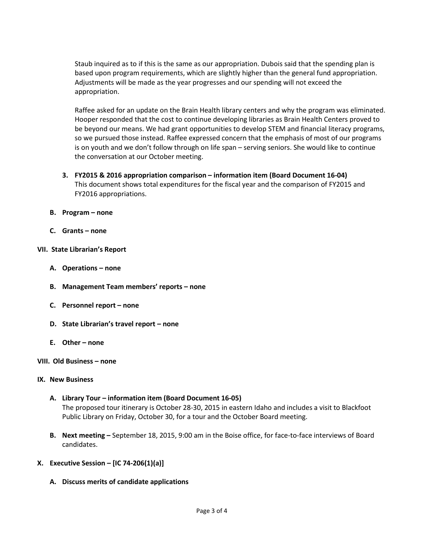Staub inquired as to if this is the same as our appropriation. Dubois said that the spending plan is based upon program requirements, which are slightly higher than the general fund appropriation. Adjustments will be made as the year progresses and our spending will not exceed the appropriation.

Raffee asked for an update on the Brain Health library centers and why the program was eliminated. Hooper responded that the cost to continue developing libraries as Brain Health Centers proved to be beyond our means. We had grant opportunities to develop STEM and financial literacy programs, so we pursued those instead. Raffee expressed concern that the emphasis of most of our programs is on youth and we don't follow through on life span – serving seniors. She would like to continue the conversation at our October meeting.

- **3. FY2015 & 2016 appropriation comparison – information item (Board Document 16-04)** This document shows total expenditures for the fiscal year and the comparison of FY2015 and FY2016 appropriations.
- **B. Program – none**
- **C. Grants – none**

#### **VII. State Librarian's Report**

- **A. Operations – none**
- **B. Management Team members' reports – none**
- **C. Personnel report – none**
- **D. State Librarian's travel report – none**
- **E. Other – none**

#### **VIII. Old Business – none**

#### **IX. New Business**

- **A. Library Tour – information item (Board Document 16-05)** The proposed tour itinerary is October 28-30, 2015 in eastern Idaho and includes a visit to Blackfoot Public Library on Friday, October 30, for a tour and the October Board meeting.
- **B. Next meeting –** September 18, 2015, 9:00 am in the Boise office, for face-to-face interviews of Board candidates.

## **X. Executive Session – [IC 74-206(1)(a)]**

**A. Discuss merits of candidate applications**